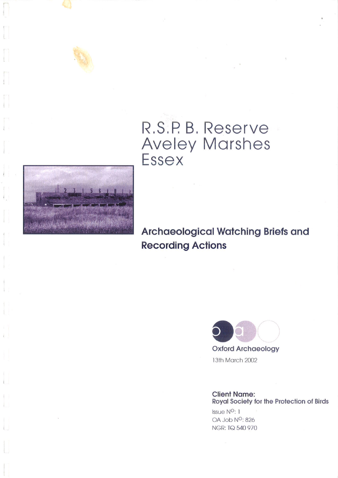



**Archaeological Watching Briefs and Recording Actions** 



**Oxford Archaeology** 13th March 2002

**Client Name:** Royal Society for the Protection of Birds

Issue N<sup>o</sup>: 1 OA Job N<sup>O</sup>: 826 NGR: TQ 540 970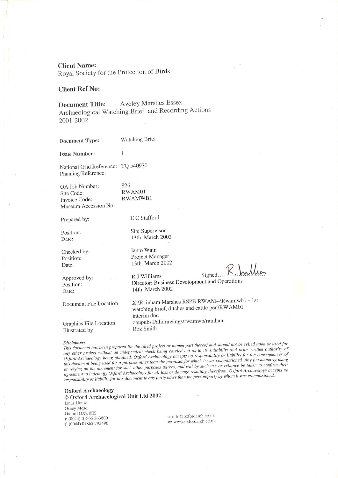**Client Name:** 

Royal Society for the Protection of Birds

### **Client Ref No:**

Aveley Marshes Essex. **Document Title:** Archaeological Watching Brief and Recording Actions 2001-2002

Watching Brief **Document Type: Issue Number:**  $\mathbf{1}$ National Grid Reference: TQ 540970 Planning Reference: 826 OA Job Number: RWAM01 Site Code: RWAMWB1 Invoice Code: Museum Accession No: E C Stafford Prepared by: Site Supervisor Position: 13th March 2002 Date: Ianto Wain Checked by: Project Manager Position: 13th March 2002 Date: R J Williams Approved by: Position:

Signed. R. Indh

Document File Location

Graphics File Location Illustrated by

Director: Business Development and Operations 14th March 2002

X:\Rainham Marshes RSPB RWAM--\Rwamwb1 - 1st watching brief, ditches and cattle pen\RWAM01 interim.doc oaupubs1/alldrawings/rwamwb/rainham Roz Smith

Date:

This document has been prepared for the titled project or named part thereof and should not be relied upon or used for any other project without an independent check being carried out as to its suitability and prior written authority of Oxford Archaeology being obtained. Oxford Archaeology accepts no responsibility or liability for the consequences of this document being used for a purpose other than the purposes for which it was commissioned. Any person/party using or relying on the document for such other purposes agrees, and will by such use or reliance be taken to confirm their agreement to indemnify Oxford Archaeology for all loss or damage resulting therefrom. Oxford Archaeology accepts no responsibility or liability for this document to any party other than the person/party by whom it was commissioned.

**Oxford Archaeology** © Oxford Archaeological Unit Ltd 2002 Janus House Osney Mead Oxford OX2 0ES t: (0044) 01865 263800 f: (0044) 01865 793496

e: info@oxfordarch.co.uk w: www.oxfordarch.co.uk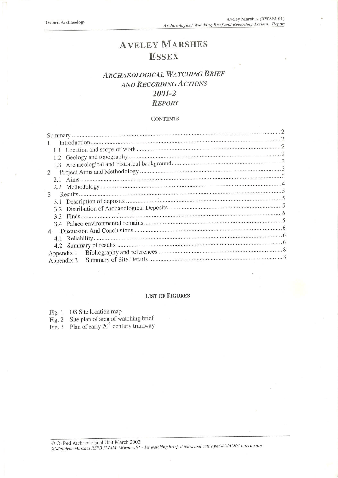# **AVELEY MARSHES ESSEX**

## **ARCHAEOLOGICAL WATCHING BRIEF** AND RECORDING ACTIONS 2001-2 **REPORT**

### **CONTENTS**

|                | 1.2 |            |  |
|----------------|-----|------------|--|
|                |     |            |  |
| 2              |     |            |  |
|                |     |            |  |
|                |     |            |  |
| 3              |     |            |  |
|                |     |            |  |
|                |     |            |  |
|                |     |            |  |
|                | 33  |            |  |
|                |     |            |  |
| $\overline{4}$ |     |            |  |
|                |     |            |  |
|                |     |            |  |
|                |     | Appendix 1 |  |
| Appendix 2     |     |            |  |
|                |     |            |  |

### **LIST OF FIGURES**

| Fig. 1 | OS Site location map |  |
|--------|----------------------|--|
|--------|----------------------|--|

- Fig. 2 Site plan of area of watching brief<br>Fig. 3 Plan of early  $20<sup>th</sup>$  century tramway
-